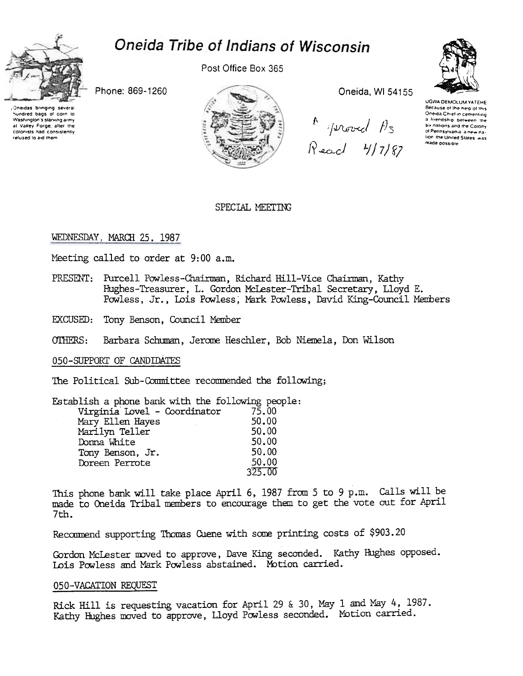

# Oneida Tribe of Indians of Wisconsin

Post Office Box 365

Phone: 869-1260

Oneidas bringing several hundred bags of corn to Washington's starving army at Valley Forge after the colonists had consistently refused to aid them



Oneida, WI 54155



UGWA DEMOLUM YATEHE Because of the neip of this Oneida Chief in cementing a Iriendship between the six nations and the Cotony of Pennsylvania, a new nation the United States was made possible

## SPECIAL MEETING

# WEDNESDAY, MARCH 25, 1987

Meeting called to order at 9:00 a.m.

- PRESENT: Purcell Powless-Chairman, Richard Hill-Vice Chairman, Kathy Hughes-Treasurer, L. Gordon McLester-Tribal Secretary, Lloyd E. Powless, Jr., Lois Powless, Mark Powless, David King-Council Members
- EXCUSED: Tony Benson, Council Member
- OTHERS: Barbara Schuman, Jerome Heschler, Bob Niemela, Don Wilson

#### 050-SUPPORT OF CANDIDATES

The Political Sub-Committee recommended the following;

Establish a phone bank with the following people: Virginia Lovel - Coordinator 75.00

| 50.00  |
|--------|
| 50.00  |
| 50.00  |
| 50.00  |
| 50.00  |
| 325.00 |
|        |

This phone bank will take place April 6, 1987 from 5 to 9 p.m. Calls will be made to Oneida Tribal members to encourage them to get the vote out for April 7th.

Recommend supporting Thomas Cuene with some printing costs of \$903.20

Gordon McLester moved to approve, Dave King seconded. Kathy Hughes opposed. Lois Powless and Mark Powless abstained. Motion carried.

### 050-VACATION REQUEST

Rick Hill is requesting vacation for April 29 & 30, May 1 and May 4, 1987. Kathy Hughes moved to approve, Lloyd Powless seconded. Motion carried.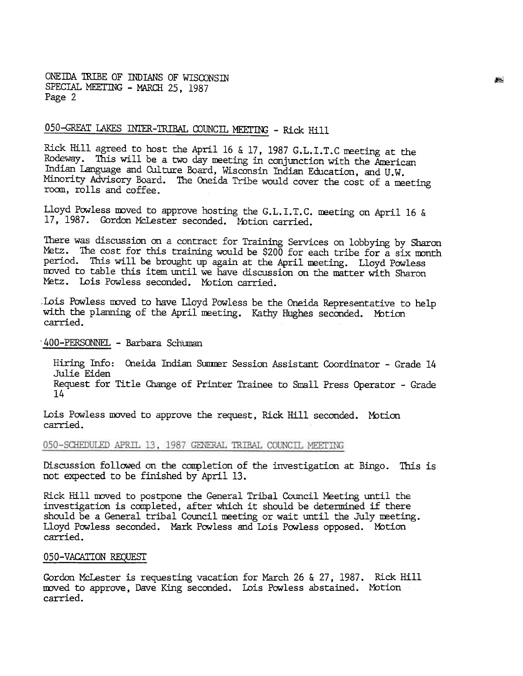ONEIDA TRIBE OF INDIANS OF WISCONSIN SPECIAL MEETING - MARCH 25, 1987 Page 2

# 050-GREAT LAKES INTER-TRIBAL COUNCIL MEETING - Rick Hill

Rick Hill agreed to host the April 16 & 17, 1987 G.L.I.T.C meeting at the Rodeway. This will be a two day meeting in conjunction with the American Indian language and Culture Board, Wisconsin Indian Education, and U. W. Minority Advisory Board. The Oneida Tribe would cover the cost of a meeting room, rolls and coffee.

Lloyd Powless moved to approve hosting the G.L. I. T. C. meeting on April 16 & 17, 1987. Gordon McLester seconded. Motion carried.

There was discussion on a contract for Training Services on lobbying by Sharon Metz. The cost for this training would be \$200 for each tribe for  $a$  six month period. This will be brought up again at the April meeting. Lloyd Powless moved to table this item until we have discussion on the matter with Sharon Metz. Lois Powless seconded. Motion carried.

Lois Powless moved to have Lloyd Powless be the Oneida Representative to help with the planning of the April meeting. Kathy Hughes seconded. Motion carried.

#### 1400-PERSONNEL - Barbara Schuman

Hiring Info: Oneida Indian Summer Session Assistant Coordinator - Grade 14 Julie Eiden Request for Title Change of Printer Trainee to Small Press Operator - Grade 14

Lois Powless moved to approve the request, Rick Hill seconded. Motion carried.

# 050-SCHEDULED APRIL 13, 1987 GENERAL TRIBAL COUNCIL MEETING

Discussion followed on the completion of the investigation at Bingo. This i not expected to be finished by April 13.

Rick Hill nvved to postpone the General Tribal Council Meeting until the investigation is completed, after which it should be determined if there should be a General tribal Council meeting or wait until the July meeting. Lloyd Powless seconded. Mark Powless and Lois Powless opposed. Motion carried.

#### 050-VACATION REQUEST

Gordon McLester is requesting vacation for March 26 & 27, 1987. Rick Hil moved to approve, Dave King seconded. Lois Powless abstained. Motion carried.